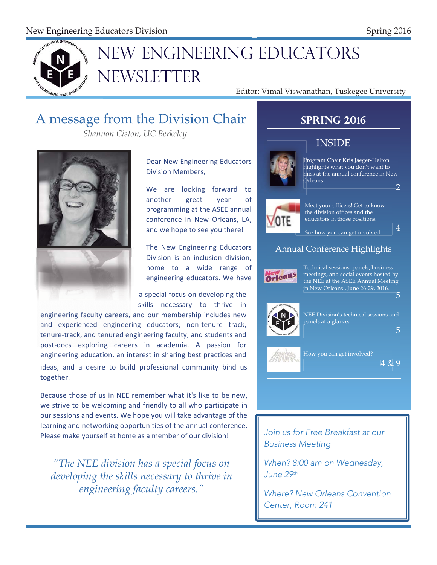

# NEW ENGINEERING EDUCATORS N NEWSLETTER N

Editor: Vimal Viswanathan, Tuskegee University

# A message from the Division Chair

*Shannon Ciston, UC Berkeley* 



Dear New Engineering Educators Division Members.

We are looking forward to another great year of programming at the ASEE annual conference in New Orleans, LA, and we hope to see you there!

The New Engineering Educators Division is an inclusion division. home to a wide range of engineering educators. We have

a special focus on developing the skills necessary to thrive in

engineering faculty careers, and our membership includes new and experienced engineering educators; non-tenure track, tenure-track, and tenured engineering faculty; and students and post-docs exploring careers in academia. A passion for engineering education, an interest in sharing best practices and ideas, and a desire to build professional community bind us together.

Because those of us in NEE remember what it's like to be new. we strive to be welcoming and friendly to all who participate in our sessions and events. We hope you will take advantage of the learning and networking opportunities of the annual conference. Please make yourself at home as a member of our division!

*"The NEE division has a special focus on developing the skills necessary to thrive in engineering faculty careers."* 



*Join us for Free Breakfast at our Business Meeting* 

*When? 8:00 am on Wednesday, June 29th*

*Where? New Orleans Convention Center, Room 241*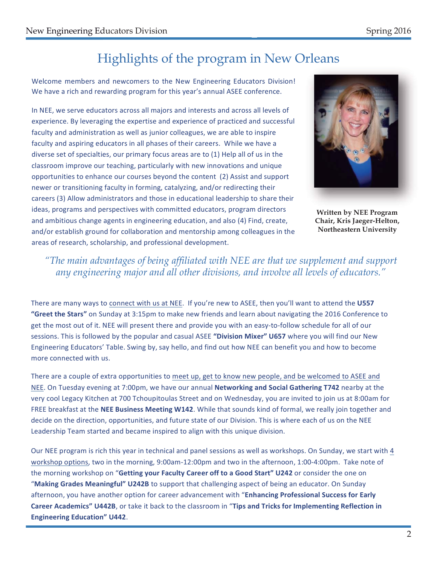# Highlights of the program in New Orleans

Welcome members and newcomers to the New Engineering Educators Division! We have a rich and rewarding program for this year's annual ASEE conference.

In NEE, we serve educators across all majors and interests and across all levels of experience. By leveraging the expertise and experience of practiced and successful faculty and administration as well as junior colleagues, we are able to inspire faculty and aspiring educators in all phases of their careers. While we have a diverse set of specialties, our primary focus areas are to (1) Help all of us in the classroom improve our teaching, particularly with new innovations and unique opportunities to enhance our courses beyond the content (2) Assist and support newer or transitioning faculty in forming, catalyzing, and/or redirecting their careers (3) Allow administrators and those in educational leadership to share their ideas, programs and perspectives with committed educators, program directors and ambitious change agents in engineering education, and also (4) Find, create, and/or establish ground for collaboration and mentorship among colleagues in the areas of research, scholarship, and professional development.



**Written by NEE Program** Chair, Kris Jaeger-Helton, Northeastern University

### "The main advantages of being affiliated with NEE are that we supplement and support any engineering major and all other divisions, and involve all levels of educators."

There are many ways to connect with us at NEE. If you're new to ASEE, then you'll want to attend the U557 "Greet the Stars" on Sunday at 3:15pm to make new friends and learn about navigating the 2016 Conference to get the most out of it. NEE will present there and provide you with an easy-to-follow schedule for all of our sessions. This is followed by the popular and casual ASEE "Division Mixer" U657 where you will find our New Engineering Educators' Table. Swing by, say hello, and find out how NEE can benefit you and how to become more connected with us.

There are a couple of extra opportunities to meet up, get to know new people, and be welcomed to ASEE and NEE. On Tuesday evening at 7:00pm, we have our annual Networking and Social Gathering T742 nearby at the very cool Legacy Kitchen at 700 Tchoupitoulas Street and on Wednesday, you are invited to join us at 8:00am for FREE breakfast at the NEE Business Meeting W142. While that sounds kind of formal, we really join together and decide on the direction, opportunities, and future state of our Division. This is where each of us on the NEE Leadership Team started and became inspired to align with this unique division.

Our NEE program is rich this year in technical and panel sessions as well as workshops. On Sunday, we start with 4 workshop options, two in the morning, 9:00am-12:00pm and two in the afternoon, 1:00-4:00pm. Take note of the morning workshop on "Getting your Faculty Career off to a Good Start" U242 or consider the one on "Making Grades Meaningful" U242B to support that challenging aspect of being an educator. On Sunday afternoon, you have another option for career advancement with "Enhancing Professional Success for Early Career Academics" U442B, or take it back to the classroom in "Tips and Tricks for Implementing Reflection in **Engineering Education" U442.**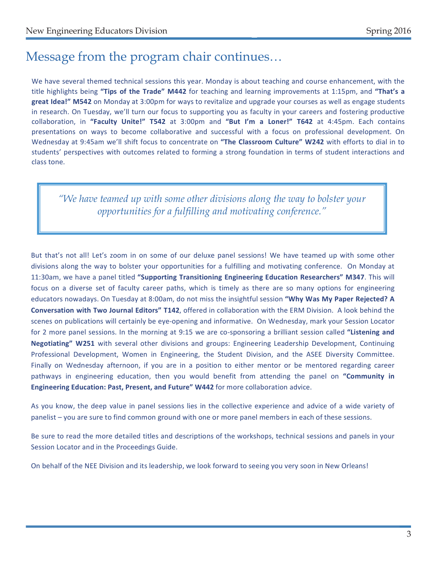# Message from the program chair continues...

We have several themed technical sessions this year. Monday is about teaching and course enhancement, with the title highlights being "Tips of the Trade" M442 for teaching and learning improvements at 1:15pm, and "That's a great Idea!" M542 on Monday at 3:00pm for ways to revitalize and upgrade your courses as well as engage students in research. On Tuesday, we'll turn our focus to supporting you as faculty in your careers and fostering productive collaboration, in "Faculty Unite!" T542 at 3:00pm and "But I'm a Loner!" T642 at 4:45pm. Each contains presentations on ways to become collaborative and successful with a focus on professional development. On Wednesday at 9:45am we'll shift focus to concentrate on "The Classroom Culture" W242 with efforts to dial in to students' perspectives with outcomes related to forming a strong foundation in terms of student interactions and class tone.

"We have teamed up with some other divisions along the way to bolster your opportunities for a fulfilling and motivating conference."

But that's not all! Let's zoom in on some of our deluxe panel sessions! We have teamed up with some other divisions along the way to bolster your opportunities for a fulfilling and motivating conference. On Monday at 11:30am, we have a panel titled "Supporting Transitioning Engineering Education Researchers" M347. This will focus on a diverse set of faculty career paths, which is timely as there are so many options for engineering educators nowadays. On Tuesday at 8:00am, do not miss the insightful session "Why Was My Paper Rejected? A Conversation with Two Journal Editors" T142, offered in collaboration with the ERM Division. A look behind the scenes on publications will certainly be eye-opening and informative. On Wednesday, mark your Session Locator for 2 more panel sessions. In the morning at 9:15 we are co-sponsoring a brilliant session called "Listening and Negotiating" W251 with several other divisions and groups: Engineering Leadership Development, Continuing Professional Development, Women in Engineering, the Student Division, and the ASEE Diversity Committee. Finally on Wednesday afternoon, if you are in a position to either mentor or be mentored regarding career pathways in engineering education, then you would benefit from attending the panel on "Community in Engineering Education: Past, Present, and Future" W442 for more collaboration advice.

As you know, the deep value in panel sessions lies in the collective experience and advice of a wide variety of panelist - you are sure to find common ground with one or more panel members in each of these sessions.

Be sure to read the more detailed titles and descriptions of the workshops, technical sessions and panels in your Session Locator and in the Proceedings Guide.

On behalf of the NEE Division and its leadership, we look forward to seeing you very soon in New Orleans!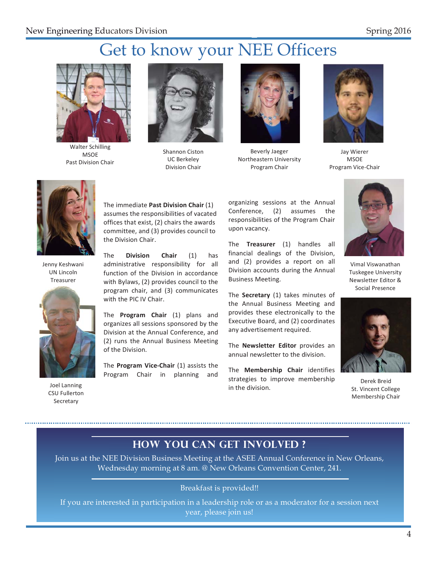# Get to know your NEE Officers



Walter Schilling **MSOF** Past Division Chair



Shannon Ciston UC Berkeley Division Chair



Beverly Jaeger Northeastern University Program Chair



Jay Wierer **MSOE** Program Vice-Chair



Jenny Keshwani UN Lincoln Treasurer



Joel Lanning CSU Fullerton Secretary

The immediate Past Division Chair (1) assumes the responsibilities of vacated offices that exist, (2) chairs the awards committee, and (3) provides council to the Division Chair.

The **Division Chair**  $(1)$  has administrative responsibility for all function of the Division in accordance with Bylaws, (2) provides council to the program chair, and (3) communicates with the PIC IV Chair.

The **Program Chair** (1) plans and organizes all sessions sponsored by the Division at the Annual Conference, and (2) runs the Annual Business Meeting of the Division.

The Program Vice-Chair (1) assists the Program Chair in planning and

organizing sessions at the Annual Conference, (2) assumes the responsibilities of the Program Chair upon vacancy.

The Treasurer (1) handles all financial dealings of the Division, and (2) provides a report on all Division accounts during the Annual Business Meeting.

The **Secretary** (1) takes minutes of the Annual Business Meeting and provides these electronically to the Executive Board, and (2) coordinates any advertisement required.

The Newsletter Editor provides an annual newsletter to the division.

The Membership Chair identifies strategies to improve membership in the division.



Vimal Viswanathan Tuskegee University Newsletter Editor & Social Presence



Derek Breid St. Vincent College Membership Chair

### **How you can get involved ?**

Join us at the NEE Division Business Meeting at the ASEE Annual Conference in New Orleans, Wednesday morning at 8 am. @ New Orleans Convention Center, 241.

### Breakfast is provided!!

If you are interested in participation in a leadership role or as a moderator for a session next year, please join us!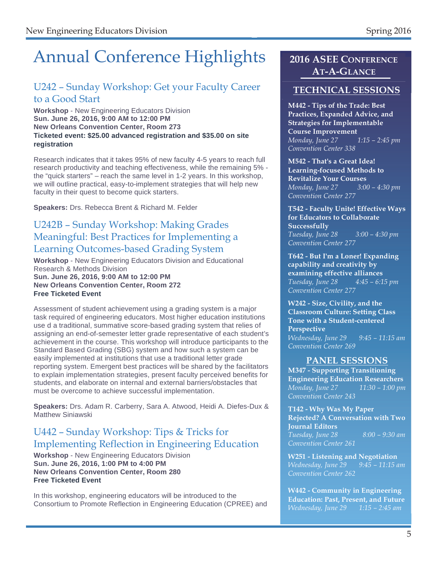# Annual Conference Highlights **2016 ASEE CONFERENCE**

### U242 - Sunday Workshop: Get your Faculty Career **TECHNICAL SESSIONS** to a Good Start

### **Workshop** - New Engineering Educators Division **Sun. June 26, 2016, 9:00 AM to 12:00 PM New Orleans Convention Center, Room 273 Ticketed event: \$25.00 advanced registration and \$35.00 on site registration**

Research indicates that it takes 95% of new faculty 4-5 years to reach full research productivity and teaching effectiveness, while the remaining 5% the "quick starters" – reach the same level in 1-2 years. In this workshop, we will outline practical, easy-to-implement strategies that will help new faculty in their quest to become quick starters.

**Speakers:** Drs. Rebecca Brent & Richard M. Felder

### U242B – Sunday Workshop: Making Grades Meaningful: Best Practices for Implementing a Learning Outcomes-based Grading System

**Workshop** - New Engineering Educators Division and Educational Research & Methods Division **Sun. June 26, 2016, 9:00 AM to 12:00 PM New Orleans Convention Center, Room 272 Free Ticketed Event**

Assessment of student achievement using a grading system is a major task required of engineering educators. Most higher education institutions use d a traditional, summative score-based grading system that relies of assigning an end-of-semester letter grade representative of each student's achievement in the course. This workshop will introduce participants to the Standard Based Grading (SBG) system and how such a system can be easily implemented at institutions that use a traditional letter grade reporting system. Emergent best practices will be shared by the facilitators to explain implementation strategies, present faculty perceived benefits for students, and elaborate on internal and external barriers/obstacles that must be overcome to achieve successful implementation.

**Speakers:** Drs. Adam R. Carberry, Sara A. Atwood, Heidi A. Diefes-Dux & Matthew Siniawski

### U442 – Sunday Workshop: Tips & Tricks for Implementing Reflection in Engineering Education

**Workshop** - New Engineering Educators Division **Sun. June 26, 2016, 1:00 PM to 4:00 PM New Orleans Convention Center, Room 280 Free Ticketed Event**

In this workshop, engineering educators will be introduced to the Consortium to Promote Reflection in Engineering Education (CPREE) and

# **AT-A-GLANCE**

**M442 - Tips of the Trade: Best Practices, Expanded Advice, and Strategies for Implementable Course Improvement**  *Monday, June 27 1:15 – 2:45 pm Convention Center 338* 

**M542 - That's a Great Idea! Learning-focused Methods to Revitalize Your Courses**  *Monday, June 27 3:00 – 4:30 pm Convention Center 277* 

**T542 - Faculty Unite! Effective Ways for Educators to Collaborate Successfully**  *Tuesday, June 28 3:00 – 4:30 pm Convention Center 277* 

**T642 - But I'm a Loner! Expanding capability and creativity by examining effective alliances**  *Tuesday, June 28 4:45 – 6:15 pm Convention Center 277* 

**W242 - Size, Civility, and the Classroom Culture: Setting Class Tone with a Student-centered Perspective** 

*Wednesday, June 29 9:45 – 11:15 am Convention Center 269* 

### **PANEL SESSIONS**

**M347 - Supporting Transitioning Engineering Education Researchers**  *Monday, June 27 11:30 – 1:00 pm Convention Center 243* 

**T142 - Why Was My Paper Rejected? A Conversation with Two Journal Editors**  *Tuesday, June 28 8:00 – 9:30 am* 

**W251 - Listening and Negotiation**  *Wednesday, June 29 9:45 – 11:15 am Convention Center 262* 

**W442 - Community in Engineering Education: Past, Present, and Future**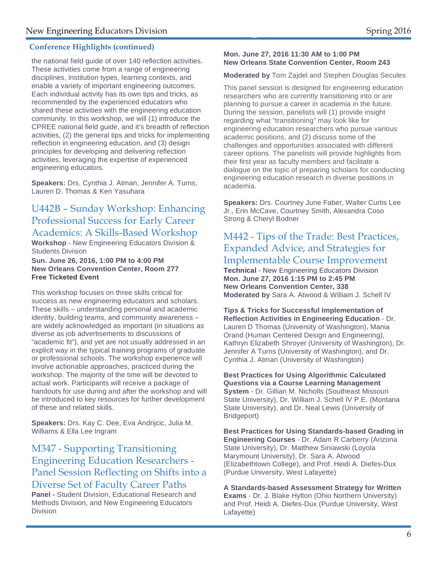### **Conference Highlights (continued)**

the national field guide of over 140 reflection activities. These activities come from a range of engineering disciplines, institution types, learning contexts, and enable a variety of important engineering outcomes. Each individual activity has its own tips and tricks, as recommended by the experienced educators who shared these activities with the engineering education community. In this workshop, we will (1) introduce the CPREE national field guide, and it's breadth of reflection activities, (2) the general tips and tricks for implementing reflection in engineering education, and (3) design principles for developing and delivering reflection activities, leveraging the expertise of experienced engineering educators.

**Speakers:** Drs. Cynthia J. Atman, Jennifer A. Turns, Lauren D. Thomas & Ken Yasuhara

### U442B – Sunday Workshop: Enhancing Professional Success for Early Career Academics: A Skills-Based Workshop

**Workshop** - New Engineering Educators Division & Students Division

**Sun. June 26, 2016, 1:00 PM to 4:00 PM New Orleans Convention Center, Room 277 Free Ticketed Event**

This workshop focuses on three skills critical for success as new engineering educators and scholars. These skills – understanding personal and academic identity, building teams, and community awareness – are widely acknowledged as important (in situations as diverse as job advertisements to discussions of "academic fit"), and yet are not usually addressed in an explicit way in the typical training programs of graduate or professional schools. The workshop experience will involve actionable approaches, practiced during the workshop. The majority of the time will be devoted to actual work. Participants will receive a package of handouts for use during and after the workshop and will be introduced to key resources for further development of these and related skills.

**Speakers:** Drs. Kay C. Dee, Eva Andrijcic, Julia M. Williams & Ella Lee Ingram

### M347 - Supporting Transitioning Engineering Education Researchers - Panel Session Reflecting on Shifts into a Diverse Set of Faculty Career Paths

**Panel -** Student Division, Educational Research and Methods Division, and New Engineering Educators Division

### **Mon. June 27, 2016 11:30 AM to 1:00 PM New Orleans State Convention Center, Room 243**

### **Moderated by** Tom Zajdel and Stephen Douglas Secules

This panel session is designed for engineering education researchers who are currently transitioning into or are planning to pursue a career in academia in the future. During the session, panelists will (1) provide insight regarding what "transitioning" may look like for engineering education researchers who pursue various academic positions, and (2) discuss some of the challenges and opportunities associated with different career options. The panelists will provide highlights from their first year as faculty members and facilitate a dialogue on the topic of preparing scholars for conducting engineering education research in diverse positions in academia.

**Speakers:** Drs. Courtney June Faber, Walter Curtis Lee Jr., Erin McCave, Courtney Smith, Alexandra Coso Strong & Cheryl Bodner

## M442 - Tips of the Trade: Best Practices, Expanded Advice, and Strategies for

### Implementable Course Improvement

**Technical** - New Engineering Educators Division **Mon. June 27, 2016 1:15 PM to 2:45 PM New Orleans Convention Center, 338 Moderated by** Sara A. Atwood & William J. Schell IV

**Tips & Tricks for Successful Implementation of Reflection Activities in Engineering Education** - Dr. Lauren D Thomas (University of Washington), Mania Orand (Human Centered Design and Engineering), Kathryn Elizabeth Shroyer (University of Washington), Dr. Jennifer A Turns (University of Washington), and Dr. Cynthia J. Atman (University of Washington)

**Best Practices for Using Algorithmic Calculated Questions via a Course Learning Management System** - Dr. Gillian M. Nicholls (Southeast Missouri State University), Dr. William J. Schell IV P.E. (Montana State University), and Dr. Neal Lewis (University of Bridgeport)

**Best Practices for Using Standards-based Grading in Engineering Courses** - Dr. Adam R Carberry (Arizona State University), Dr. Matthew Siniawski (Loyola Marymount University), Dr. Sara A. Atwood (Elizabethtown College), and Prof. Heidi A. Diefes-Dux (Purdue University, West Lafayette)

**A Standards-based Assessment Strategy for Written Exams** - Dr. J. Blake Hylton (Ohio Northern University) and Prof. Heidi A. Diefes-Dux (Purdue University, West Lafayette)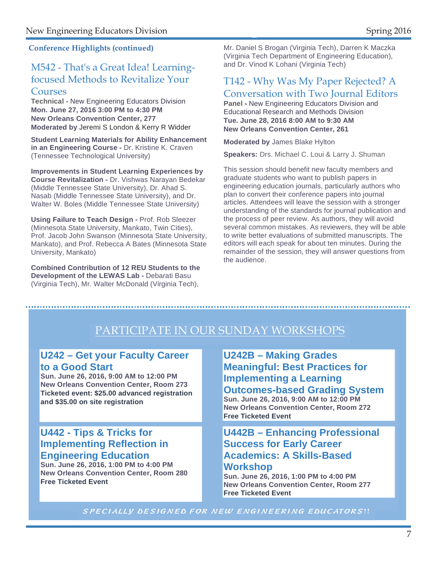### M542 - That's a Great Idea! Learningfocused Methods to Revitalize Your Courses

### **Technical -** New Engineering Educators Division **Mon. June 27, 2016 3:00 PM to 4:30 PM New Orleans Convention Center, 277 Moderated by** Jeremi S London & Kerry R Widder

**Student Learning Materials for Ability Enhancement in an Engineering Course - Dr. Kristine K. Craven** (Tennessee Technological University)

**Improvements in Student Learning Experiences by Course Revitalization -** Dr. Vishwas Narayan Bedekar (Middle Tennessee State University), Dr. Ahad S. Nasab (Middle Tennessee State University), and Dr. Walter W. Boles (Middle Tennessee State University)

**Using Failure to Teach Design -** Prof. Rob Sleezer (Minnesota State University, Mankato, Twin Cities), Prof. Jacob John Swanson (Minnesota State University, Mankato), and Prof. Rebecca A Bates (Minnesota State University, Mankato)

**Combined Contribution of 12 REU Students to the Development of the LEWAS Lab -** Debarati Basu (Virginia Tech), Mr. Walter McDonald (Virginia Tech),

Conference Highlights (continued) Mr. Daniel S Brogan (Virginia Tech), Darren K Maczka (Virginia Tech Department of Engineering Education), and Dr. Vinod K Lohani (Virginia Tech)

### T142 - Why Was My Paper Rejected? A Conversation with Two Journal Editors

**Panel -** New Engineering Educators Division and Educational Research and Methods Division **Tue. June 28, 2016 8:00 AM to 9:30 AM New Orleans Convention Center, 261** 

**Moderated by** James Blake Hylton

**Speakers:** Drs. Michael C. Loui & Larry J. Shuman

This session should benefit new faculty members and graduate students who want to publish papers in engineering education journals, particularly authors who plan to convert their conference papers into journal articles. Attendees will leave the session with a stronger understanding of the standards for journal publication and the process of peer review. As authors, they will avoid several common mistakes. As reviewers, they will be able to write better evaluations of submitted manuscripts. The editors will each speak for about ten minutes. During the remainder of the session, they will answer questions from the audience.

# PARTICIPATE IN OUR SUNDAY WORKSHOPS

### **U242 – Get your Faculty Career to a Good Start**

**Sun. June 26, 2016, 9:00 AM to 12:00 PM New Orleans Convention Center, Room 273 Ticketed event: \$25.00 advanced registration and \$35.00 on site registration** 

### **U442 - Tips & Tricks for Implementing Reflection in Engineering Education**

**Sun. June 26, 2016, 1:00 PM to 4:00 PM New Orleans Convention Center, Room 280 Free Ticketed Event**

**U242B – Making Grades Meaningful: Best Practices for Implementing a Learning Outcomes-based Grading System Sun. June 26, 2016, 9:00 AM to 12:00 PM New Orleans Convention Center, Room 272 Free Ticketed Event**

### **U442B – Enhancing Professional Success for Early Career Academics: A Skills-Based Workshop**

**Sun. June 26, 2016, 1:00 PM to 4:00 PM New Orleans Convention Center, Room 277 Free Ticketed Event**

SPECIALLY DESIGNED FOR NEW ENGINEERING EDUCATORS!!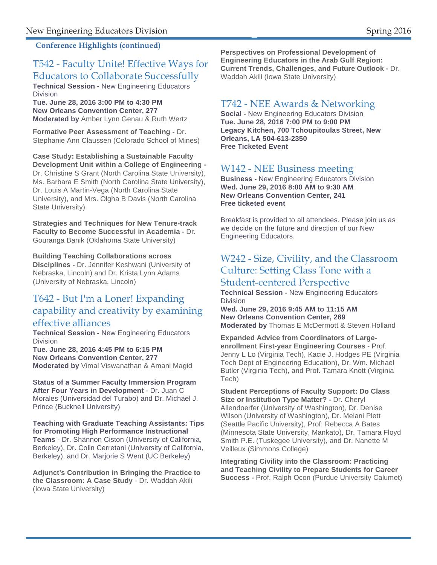### **Conference Highlights (continued)**

### T542 - Faculty Unite! Effective Ways for Educators to Collaborate Successfully

**Technical Session -** New Engineering Educators Division

**Tue. June 28, 2016 3:00 PM to 4:30 PM New Orleans Convention Center, 277 Moderated by** Amber Lynn Genau & Ruth Wertz

**Formative Peer Assessment of Teaching -** Dr. Stephanie Ann Claussen (Colorado School of Mines)

**Case Study: Establishing a Sustainable Faculty Development Unit within a College of Engineering -**  Dr. Christine S Grant (North Carolina State University), Ms. Barbara E Smith (North Carolina State University), Dr. Louis A Martin-Vega (North Carolina State University), and Mrs. Olgha B Davis (North Carolina State University)

**Strategies and Techniques for New Tenure-track Faculty to Become Successful in Academia -** Dr. Gouranga Banik (Oklahoma State University)

**Building Teaching Collaborations across** 

**Disciplines -** Dr. Jennifer Keshwani (University of Nebraska, Lincoln) and Dr. Krista Lynn Adams (University of Nebraska, Lincoln)

### T642 - But I'm a Loner! Expanding capability and creativity by examining effective alliances

**Technical Session -** New Engineering Educators Division

**Tue. June 28, 2016 4:45 PM to 6:15 PM New Orleans Convention Center, 277 Moderated by** Vimal Viswanathan & Amani Magid

**Status of a Summer Faculty Immersion Program After Four Years in Development** - Dr. Juan C Morales (Universidad del Turabo) and Dr. Michael J. Prince (Bucknell University)

**Teaching with Graduate Teaching Assistants: Tips for Promoting High Performance Instructional Teams** - Dr. Shannon Ciston (University of California, Berkeley), Dr. Colin Cerretani (University of California, Berkeley), and Dr. Marjorie S Went (UC Berkeley)

**Adjunct's Contribution in Bringing the Practice to the Classroom: A Case Study** - Dr. Waddah Akili (Iowa State University)

**Perspectives on Professional Development of Engineering Educators in the Arab Gulf Region: Current Trends, Challenges, and Future Outlook -** Dr. Waddah Akili (Iowa State University)

### T742 - NEE Awards & Networking

**Social -** New Engineering Educators Division **Tue. June 28, 2016 7:00 PM to 9:00 PM Legacy Kitchen, 700 Tchoupitoulas Street, New Orleans, LA 504-613-2350 Free Ticketed Event** 

### W142 - NEE Business meeting

**Business -** New Engineering Educators Division **Wed. June 29, 2016 8:00 AM to 9:30 AM New Orleans Convention Center, 241 Free ticketed event** 

Breakfast is provided to all attendees. Please join us as we decide on the future and direction of our New Engineering Educators.

### W242 - Size, Civility, and the Classroom Culture: Setting Class Tone with a Student-centered Perspective

**Technical Session -** New Engineering Educators Division

**Wed. June 29, 2016 9:45 AM to 11:15 AM New Orleans Convention Center, 269 Moderated by** Thomas E McDermott & Steven Holland

**Expanded Advice from Coordinators of Largeenrollment First-year Engineering Courses** - Prof. Jenny L Lo (Virginia Tech), Kacie J. Hodges PE (Virginia Tech Dept of Engineering Education), Dr. Wm. Michael Butler (Virginia Tech), and Prof. Tamara Knott (Virginia Tech)

**Student Perceptions of Faculty Support: Do Class Size or Institution Type Matter? -** Dr. Cheryl Allendoerfer (University of Washington), Dr. Denise Wilson (University of Washington), Dr. Melani Plett (Seattle Pacific University), Prof. Rebecca A Bates (Minnesota State University, Mankato), Dr. Tamara Floyd Smith P.E. (Tuskegee University), and Dr. Nanette M Veilleux (Simmons College)

**Integrating Civility into the Classroom: Practicing and Teaching Civility to Prepare Students for Career Success -** Prof. Ralph Ocon (Purdue University Calumet)